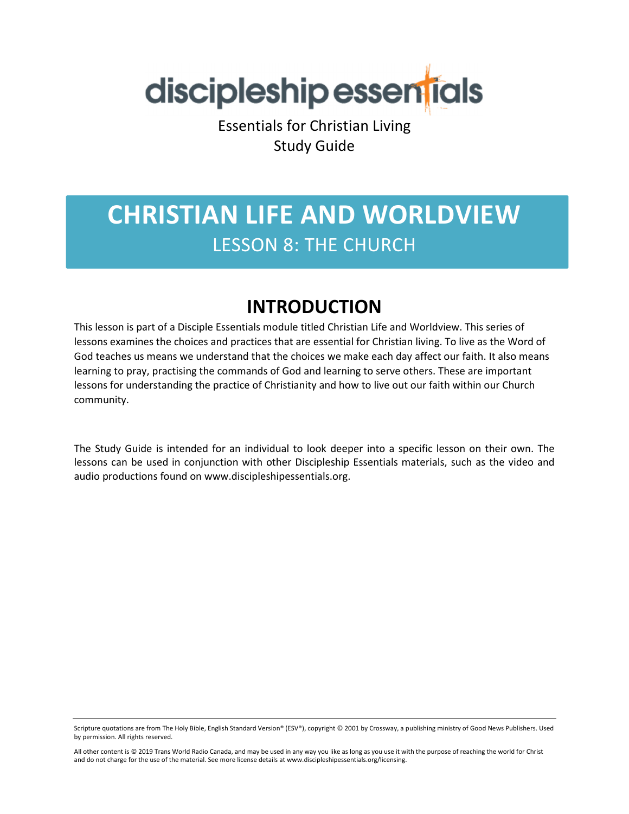

Essentials for Christian Living Study Guide

## **CHRISTIAN LIFE AND WORLDVIEW**  LESSON 8: THE CHURCH

### **INTRODUCTION**

This lesson is part of a Disciple Essentials module titled Christian Life and Worldview. This series of lessons examines the choices and practices that are essential for Christian living. To live as the Word of God teaches us means we understand that the choices we make each day affect our faith. It also means learning to pray, practising the commands of God and learning to serve others. These are important lessons for understanding the practice of Christianity and how to live out our faith within our Church community.

The Study Guide is intended for an individual to look deeper into a specific lesson on their own. The lessons can be used in conjunction with other Discipleship Essentials materials, such as the video and audio productions found on www.discipleshipessentials.org.

Scripture quotations are from The Holy Bible, English Standard Version® (ESV®), copyright © 2001 by Crossway, a publishing ministry of Good News Publishers. Used by permission. All rights reserved.

All other content is © 2019 Trans World Radio Canada, and may be used in any way you like as long as you use it with the purpose of reaching the world for Christ and do not charge for the use of the material. See more license details at www.discipleshipessentials.org/licensing.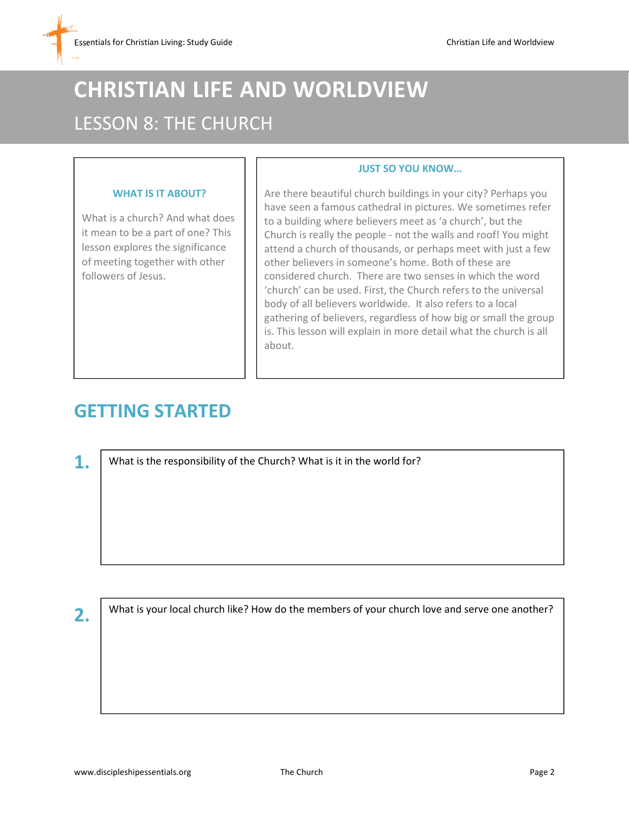# **CHRISTIAN LIFE AND WORLDVIEW**  LESSON 8: THE CHURCH

#### **WHAT IS IT ABOUT?**

What is a church? And what does it mean to be a part of one? This lesson explores the significance of meeting together with other followers of Jesus.

#### Are there beautiful church buildings in your city? Perhaps you have seen a famous cathedral in pictures. We sometimes refer to a building where believers meet as 'a church', but the Church is really the people - not the walls and roof! You might attend a church of thousands, or perhaps meet with just a few other believers in someone's home. Both of these are considered church. There are two senses in which the word 'church' can be used. First, the Church refers to the universal body of all believers worldwide. It also refers to a local gathering of believers, regardless of how big or small the group is. This lesson will explain in more detail what the church is all about.

**JUST SO YOU KNOW…**

### **GETTING STARTED**

**1.**

What is the responsibility of the Church? What is it in the world for?

**2.**

What is your local church like? How do the members of your church love and serve one another?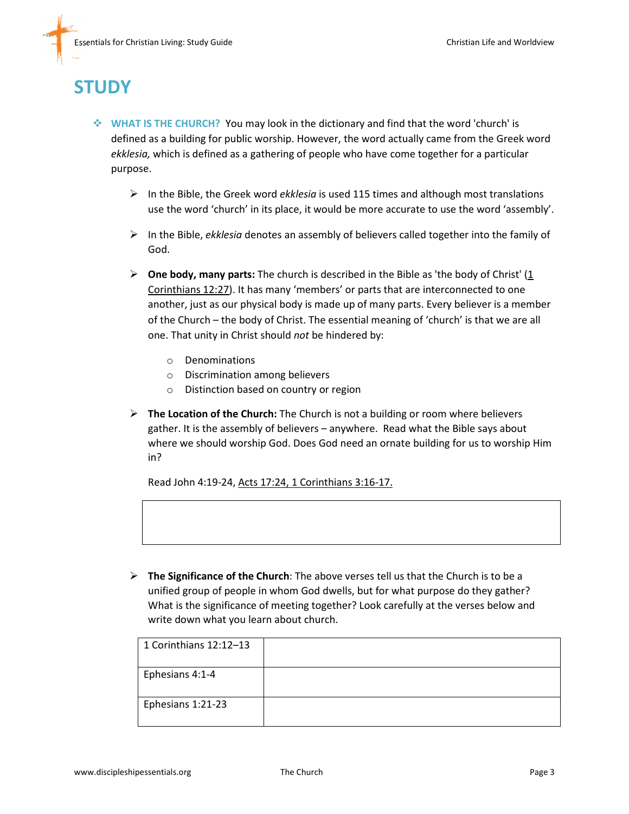### **STUDY**

- **WHAT IS THE CHURCH?** You may look in the dictionary and find that the word 'church' is defined as a building for public worship. However, the word actually came from the Greek word *ekklesia,* which is defined as a gathering of people who have come together for a particular purpose.
	- > In the Bible, the Greek word *ekklesia* is used 115 times and although most translations use the word 'church' in its place, it would be more accurate to use the word 'assembly'.
	- > In the Bible, *ekklesia* denotes an assembly of believers called together into the family of God.
	- **One body, many parts:** The church is described in the Bible as 'the body of Christ' (1 Corinthians 12:27). It has many 'members' or parts that are interconnected to one another, just as our physical body is made up of many parts. Every believer is a member of the Church – the body of Christ. The essential meaning of 'church' is that we are all one. That unity in Christ should *not* be hindered by:
		- o Denominations
		- o Discrimination among believers
		- o Distinction based on country or region
	- > The Location of the Church: The Church is not a building or room where believers gather. It is the assembly of believers – anywhere. Read what the Bible says about where we should worship God. Does God need an ornate building for us to worship Him in?

Read John 4:19-24, Acts 17:24, 1 Corinthians 3:16-17.

> The Significance of the Church: The above verses tell us that the Church is to be a unified group of people in whom God dwells, but for what purpose do they gather? What is the significance of meeting together? Look carefully at the verses below and write down what you learn about church.

| 1 Corinthians 12:12-13 |  |
|------------------------|--|
| Ephesians 4:1-4        |  |
| Ephesians 1:21-23      |  |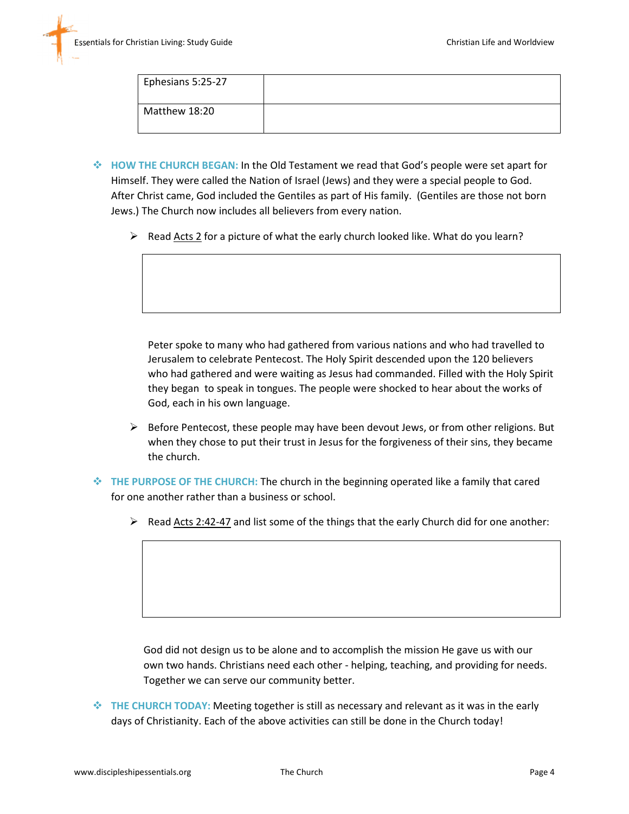| Ephesians 5:25-27 |  |
|-------------------|--|
| Matthew 18:20     |  |

- **HOW THE CHURCH BEGAN:** In the Old Testament we read that God's people were set apart for Himself. They were called the Nation of Israel (Jews) and they were a special people to God. After Christ came, God included the Gentiles as part of His family. (Gentiles are those not born Jews.) The Church now includes all believers from every nation.
	- ▶ Read Acts 2 for a picture of what the early church looked like. What do you learn?

Peter spoke to many who had gathered from various nations and who had travelled to Jerusalem to celebrate Pentecost. The Holy Spirit descended upon the 120 believers who had gathered and were waiting as Jesus had commanded. Filled with the Holy Spirit they began to speak in tongues. The people were shocked to hear about the works of God, each in his own language.

- > Before Pentecost, these people may have been devout Jews, or from other religions. But when they chose to put their trust in Jesus for the forgiveness of their sins, they became the church.
- **THE PURPOSE OF THE CHURCH:** The church in the beginning operated like a family that cared for one another rather than a business or school.
	- Read Acts 2:42-47 and list some of the things that the early Church did for one another:

God did not design us to be alone and to accomplish the mission He gave us with our own two hands. Christians need each other - helping, teaching, and providing for needs. Together we can serve our community better.

 **THE CHURCH TODAY:** Meeting together is still as necessary and relevant as it was in the early days of Christianity. Each of the above activities can still be done in the Church today!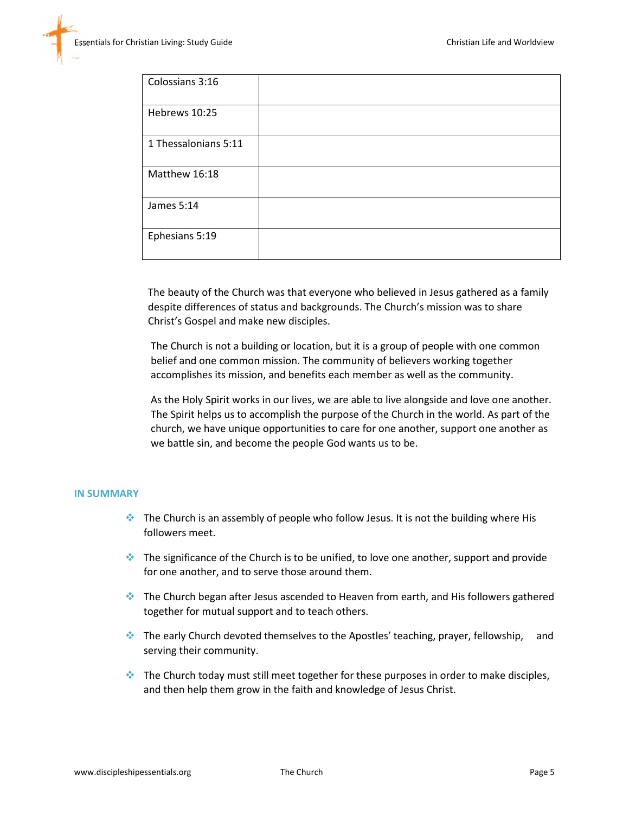| Colossians 3:16      |  |
|----------------------|--|
| Hebrews 10:25        |  |
| 1 Thessalonians 5:11 |  |
| Matthew 16:18        |  |
| James 5:14           |  |
| Ephesians 5:19       |  |

The beauty of the Church was that everyone who believed in Jesus gathered as a family despite differences of status and backgrounds. The Church's mission was to share Christ's Gospel and make new disciples.

The Church is not a building or location, but it is a group of people with one common belief and one common mission. The community of believers working together accomplishes its mission, and benefits each member as well as the community.

As the Holy Spirit works in our lives, we are able to live alongside and love one another. The Spirit helps us to accomplish the purpose of the Church in the world. As part of the church, we have unique opportunities to care for one another, support one another as we battle sin, and become the people God wants us to be.

#### **IN SUMMARY**

- **The Church is an assembly of people who follow Jesus. It is not the building where His** followers meet.
- The significance of the Church is to be unified, to love one another, support and provide for one another, and to serve those around them.
- The Church began after Jesus ascended to Heaven from earth, and His followers gathered together for mutual support and to teach others.
- The early Church devoted themselves to the Apostles' teaching, prayer, fellowship, and serving their community.
- $\bullet$  The Church today must still meet together for these purposes in order to make disciples, and then help them grow in the faith and knowledge of Jesus Christ.